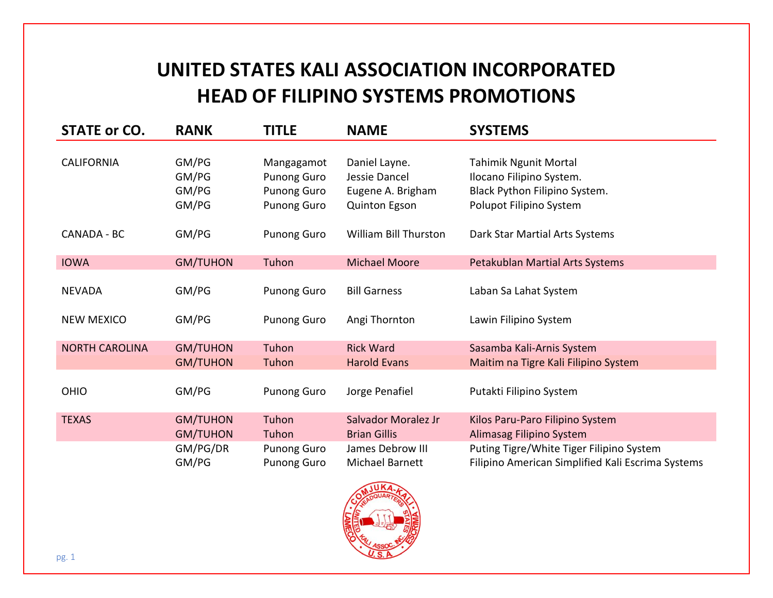## **UNITED STATES KALI ASSOCIATION INCORPORATED HEAD OF FILIPINO SYSTEMS PROMOTIONS**

| <b>STATE or CO.</b>   | <b>RANK</b>                        | <b>TITLE</b>                                                                 | <b>NAME</b>                                                          | <b>SYSTEMS</b>                                                                                                       |
|-----------------------|------------------------------------|------------------------------------------------------------------------------|----------------------------------------------------------------------|----------------------------------------------------------------------------------------------------------------------|
| <b>CALIFORNIA</b>     | GM/PG<br>GM/PG<br>GM/PG<br>GM/PG   | Mangagamot<br><b>Punong Guro</b><br><b>Punong Guro</b><br><b>Punong Guro</b> | Daniel Layne.<br>Jessie Dancel<br>Eugene A. Brigham<br>Quinton Egson | <b>Tahimik Ngunit Mortal</b><br>Ilocano Filipino System.<br>Black Python Filipino System.<br>Polupot Filipino System |
| CANADA - BC           | GM/PG                              | <b>Punong Guro</b>                                                           | <b>William Bill Thurston</b>                                         | Dark Star Martial Arts Systems                                                                                       |
| <b>IOWA</b>           | <b>GM/TUHON</b>                    | Tuhon                                                                        | <b>Michael Moore</b>                                                 | Petakublan Martial Arts Systems                                                                                      |
| <b>NEVADA</b>         | GM/PG                              | <b>Punong Guro</b>                                                           | <b>Bill Garness</b>                                                  | Laban Sa Lahat System                                                                                                |
| <b>NEW MEXICO</b>     | GM/PG                              | <b>Punong Guro</b>                                                           | Angi Thornton                                                        | Lawin Filipino System                                                                                                |
| <b>NORTH CAROLINA</b> | <b>GM/TUHON</b>                    | Tuhon                                                                        | <b>Rick Ward</b>                                                     | Sasamba Kali-Arnis System                                                                                            |
|                       | <b>GM/TUHON</b>                    | Tuhon                                                                        | <b>Harold Evans</b>                                                  | Maitim na Tigre Kali Filipino System                                                                                 |
| <b>OHIO</b>           | GM/PG                              | <b>Punong Guro</b>                                                           | Jorge Penafiel                                                       | Putakti Filipino System                                                                                              |
| <b>TEXAS</b>          | <b>GM/TUHON</b><br><b>GM/TUHON</b> | Tuhon<br>Tuhon                                                               | Salvador Moralez Jr<br><b>Brian Gillis</b>                           | Kilos Paru-Paro Filipino System<br>Alimasag Filipino System                                                          |
|                       | GM/PG/DR<br>GM/PG                  | <b>Punong Guro</b><br><b>Punong Guro</b>                                     | James Debrow III<br>Michael Barnett                                  | Puting Tigre/White Tiger Filipino System<br>Filipino American Simplified Kali Escrima Systems                        |